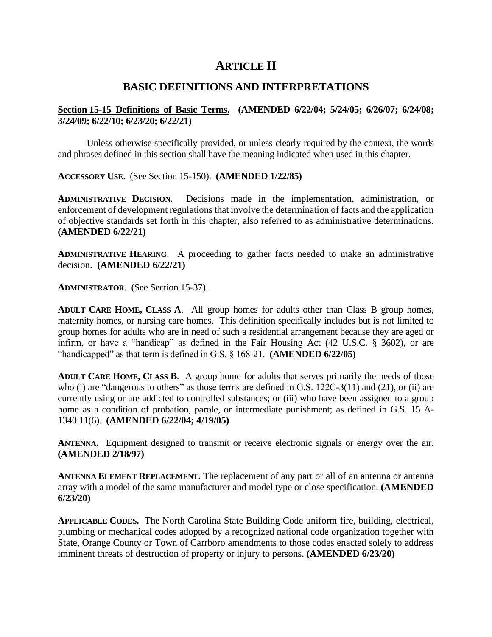# **ARTICLE II**

# **BASIC DEFINITIONS AND INTERPRETATIONS**

### **Section 15-15 Definitions of Basic Terms. (AMENDED 6/22/04; 5/24/05; 6/26/07; 6/24/08; 3/24/09; 6/22/10; 6/23/20; 6/22/21)**

Unless otherwise specifically provided, or unless clearly required by the context, the words and phrases defined in this section shall have the meaning indicated when used in this chapter.

**ACCESSORY USE**. (See Section 15-150). **(AMENDED 1/22/85)**

**ADMINISTRATIVE DECISION**. Decisions made in the implementation, administration, or enforcement of development regulations that involve the determination of facts and the application of objective standards set forth in this chapter, also referred to as administrative determinations. **(AMENDED 6/22/21)**

**ADMINISTRATIVE HEARING**. A proceeding to gather facts needed to make an administrative decision. **(AMENDED 6/22/21)**

**ADMINISTRATOR**. (See Section 15-37).

**ADULT CARE HOME, CLASS A**. All group homes for adults other than Class B group homes, maternity homes, or nursing care homes. This definition specifically includes but is not limited to group homes for adults who are in need of such a residential arrangement because they are aged or infirm, or have a "handicap" as defined in the Fair Housing Act (42 U.S.C. § 3602), or are "handicapped" as that term is defined in G.S. § 168-21. **(AMENDED 6/22/05)**

**ADULT CARE HOME, CLASS B**. A group home for adults that serves primarily the needs of those who (i) are "dangerous to others" as those terms are defined in G.S. 122C-3(11) and (21), or (ii) are currently using or are addicted to controlled substances; or (iii) who have been assigned to a group home as a condition of probation, parole, or intermediate punishment; as defined in G.S. 15 A-1340.11(6). **(AMENDED 6/22/04; 4/19/05)**

**ANTENNA.** Equipment designed to transmit or receive electronic signals or energy over the air. **(AMENDED 2/18/97)**

**ANTENNA ELEMENT REPLACEMENT.** The replacement of any part or all of an antenna or antenna array with a model of the same manufacturer and model type or close specification. **(AMENDED 6/23/20)**

**APPLICABLE CODES.** The North Carolina State Building Code uniform fire, building, electrical, plumbing or mechanical codes adopted by a recognized national code organization together with State, Orange County or Town of Carrboro amendments to those codes enacted solely to address imminent threats of destruction of property or injury to persons. **(AMENDED 6/23/20)**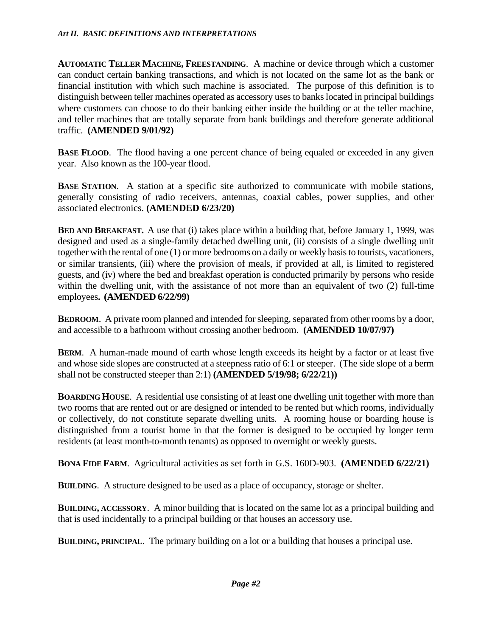**AUTOMATIC TELLER MACHINE, FREESTANDING**. A machine or device through which a customer can conduct certain banking transactions, and which is not located on the same lot as the bank or financial institution with which such machine is associated. The purpose of this definition is to distinguish between teller machines operated as accessory uses to banks located in principal buildings where customers can choose to do their banking either inside the building or at the teller machine, and teller machines that are totally separate from bank buildings and therefore generate additional traffic. **(AMENDED 9/01/92)**

**BASE FLOOD**. The flood having a one percent chance of being equaled or exceeded in any given year. Also known as the 100-year flood.

**BASE STATION**. A station at a specific site authorized to communicate with mobile stations, generally consisting of radio receivers, antennas, coaxial cables, power supplies, and other associated electronics. **(AMENDED 6/23/20)**

**BED AND BREAKFAST.** A use that (i) takes place within a building that, before January 1, 1999, was designed and used as a single-family detached dwelling unit, (ii) consists of a single dwelling unit together with the rental of one (1) or more bedrooms on a daily or weekly basis to tourists, vacationers, or similar transients, (iii) where the provision of meals, if provided at all, is limited to registered guests, and (iv) where the bed and breakfast operation is conducted primarily by persons who reside within the dwelling unit, with the assistance of not more than an equivalent of two (2) full-time employees**. (AMENDED 6/22/99)**

**BEDROOM.** A private room planned and intended for sleeping, separated from other rooms by a door, and accessible to a bathroom without crossing another bedroom. **(AMENDED 10/07/97)**

**BERM.** A human-made mound of earth whose length exceeds its height by a factor or at least five and whose side slopes are constructed at a steepness ratio of 6:1 or steeper. (The side slope of a berm shall not be constructed steeper than 2:1) **(AMENDED 5/19/98; 6/22/21))**

**BOARDING HOUSE.** A residential use consisting of at least one dwelling unit together with more than two rooms that are rented out or are designed or intended to be rented but which rooms, individually or collectively, do not constitute separate dwelling units. A rooming house or boarding house is distinguished from a tourist home in that the former is designed to be occupied by longer term residents (at least month-to-month tenants) as opposed to overnight or weekly guests.

**BONA FIDE FARM**. Agricultural activities as set forth in G.S. 160D-903. **(AMENDED 6/22/21)**

**BUILDING**. A structure designed to be used as a place of occupancy, storage or shelter.

**BUILDING, ACCESSORY**. A minor building that is located on the same lot as a principal building and that is used incidentally to a principal building or that houses an accessory use.

**BUILDING, PRINCIPAL**. The primary building on a lot or a building that houses a principal use.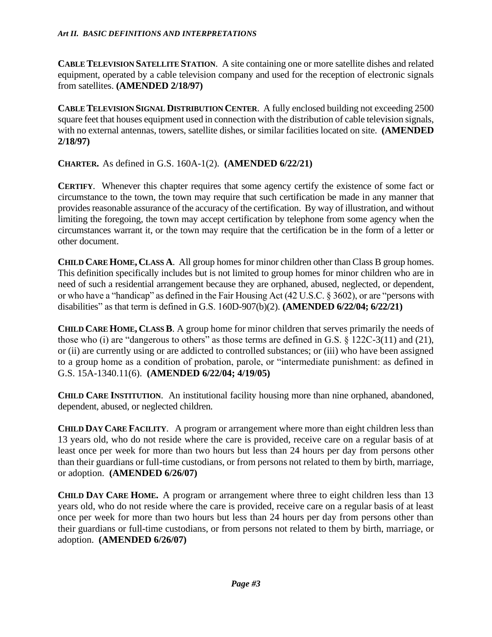**CABLE TELEVISION SATELLITE STATION**. A site containing one or more satellite dishes and related equipment, operated by a cable television company and used for the reception of electronic signals from satellites. **(AMENDED 2/18/97)**

**CABLE TELEVISION SIGNAL DISTRIBUTION CENTER**. A fully enclosed building not exceeding 2500 square feet that houses equipment used in connection with the distribution of cable television signals, with no external antennas, towers, satellite dishes, or similar facilities located on site. **(AMENDED 2/18/97)**

**CHARTER.** As defined in G.S. 160A-1(2). **(AMENDED 6/22/21)**

**CERTIFY.** Whenever this chapter requires that some agency certify the existence of some fact or circumstance to the town, the town may require that such certification be made in any manner that provides reasonable assurance of the accuracy of the certification. By way of illustration, and without limiting the foregoing, the town may accept certification by telephone from some agency when the circumstances warrant it, or the town may require that the certification be in the form of a letter or other document.

**CHILD CARE HOME, CLASS A**. All group homes for minor children other than Class B group homes. This definition specifically includes but is not limited to group homes for minor children who are in need of such a residential arrangement because they are orphaned, abused, neglected, or dependent, or who have a "handicap" as defined in the Fair Housing Act (42 U.S.C. § 3602), or are "persons with disabilities" as that term is defined in G.S. 160D-907(b)(2). **(AMENDED 6/22/04; 6/22/21)**

**CHILD CARE HOME, CLASS B**. A group home for minor children that serves primarily the needs of those who (i) are "dangerous to others" as those terms are defined in G.S. § 122C-3(11) and (21), or (ii) are currently using or are addicted to controlled substances; or (iii) who have been assigned to a group home as a condition of probation, parole, or "intermediate punishment: as defined in G.S. 15A-1340.11(6). **(AMENDED 6/22/04; 4/19/05)**

**CHILD CARE INSTITUTION**. An institutional facility housing more than nine orphaned, abandoned, dependent, abused, or neglected children.

**CHILD DAY CARE FACILITY**. A program or arrangement where more than eight children less than 13 years old, who do not reside where the care is provided, receive care on a regular basis of at least once per week for more than two hours but less than 24 hours per day from persons other than their guardians or full-time custodians, or from persons not related to them by birth, marriage, or adoption. **(AMENDED 6/26/07)**

**CHILD DAY CARE HOME.** A program or arrangement where three to eight children less than 13 years old, who do not reside where the care is provided, receive care on a regular basis of at least once per week for more than two hours but less than 24 hours per day from persons other than their guardians or full-time custodians, or from persons not related to them by birth, marriage, or adoption. **(AMENDED 6/26/07)**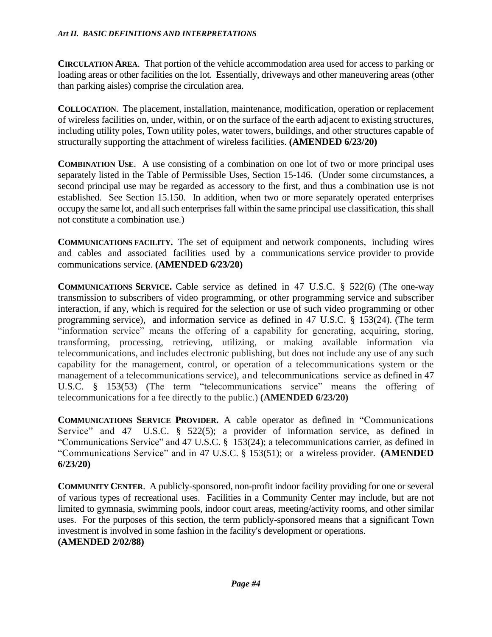**CIRCULATION AREA**. That portion of the vehicle accommodation area used for access to parking or loading areas or other facilities on the lot. Essentially, driveways and other maneuvering areas (other than parking aisles) comprise the circulation area.

**COLLOCATION**.The placement, installation, maintenance, modification, operation or replacement of wireless facilities on, under, within, or on the surface of the earth adjacent to existing structures, including utility poles, Town utility poles, water towers, buildings, and other structures capable of structurally supporting the attachment of wireless facilities. **(AMENDED 6/23/20)**

**COMBINATION USE.** A use consisting of a combination on one lot of two or more principal uses separately listed in the Table of Permissible Uses, Section 15-146. (Under some circumstances, a second principal use may be regarded as accessory to the first, and thus a combination use is not established. See Section 15.150. In addition, when two or more separately operated enterprises occupy the same lot, and all such enterprises fall within the same principal use classification, this shall not constitute a combination use.)

**COMMUNICATIONS FACILITY.** The set of equipment and network components, including wires and cables and associated facilities used by a communications service provider to provide communications service. **(AMENDED 6/23/20)**

**COMMUNICATIONS SERVICE.** Cable service as defined in 47 U.S.C. § 522(6) (The one-way transmission to subscribers of video programming, or other programming service and subscriber interaction, if any, which is required for the selection or use of such video programming or other programming service), and information service as defined in 47 U.S.C. § 153(24). (The term "information service" means the offering of a capability for generating, acquiring, storing, transforming, processing, retrieving, utilizing, or making available information via telecommunications, and includes electronic publishing, but does not include any use of any such capability for the management, control, or operation of a telecommunications system or the management of a telecommunications service), and telecommunications service as defined in 47 U.S.C. § 153(53) (The term "telecommunications service" means the offering of telecommunications for a fee directly to the public.) **(AMENDED 6/23/20)**

**COMMUNICATIONS SERVICE PROVIDER.** A cable operator as defined in "Communications Service" and 47 U.S.C. § 522(5); a provider of information service, as defined in "Communications Service" and 47 U.S.C. § 153(24); a telecommunications carrier, as defined in "Communications Service" and in 47 U.S.C. § 153(51); or a wireless provider. **(AMENDED 6/23/20)**

**COMMUNITY CENTER**. A publicly-sponsored, non-profit indoor facility providing for one or several of various types of recreational uses. Facilities in a Community Center may include, but are not limited to gymnasia, swimming pools, indoor court areas, meeting/activity rooms, and other similar uses. For the purposes of this section, the term publicly-sponsored means that a significant Town investment is involved in some fashion in the facility's development or operations. **(AMENDED 2/02/88)**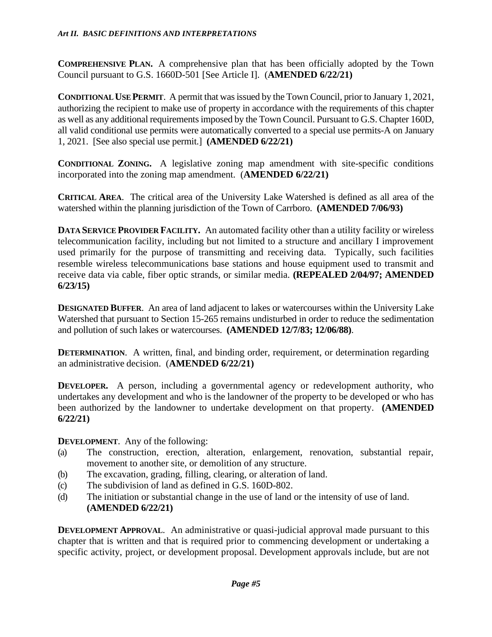**COMPREHENSIVE PLAN.** A comprehensive plan that has been officially adopted by the Town Council pursuant to G.S. 1660D-501 [See Article I]. (**AMENDED 6/22/21)**

**CONDITIONAL USE PERMIT**. A permit that was issued by the Town Council, prior to January 1, 2021, authorizing the recipient to make use of property in accordance with the requirements of this chapter as well as any additional requirements imposed by the Town Council. Pursuant to G.S. Chapter 160D, all valid conditional use permits were automatically converted to a special use permits-A on January 1, 2021. [See also special use permit.] **(AMENDED 6/22/21)**

**CONDITIONAL ZONING.** A legislative zoning map amendment with site-specific conditions incorporated into the zoning map amendment. (**AMENDED 6/22/21)**

**CRITICAL AREA**. The critical area of the University Lake Watershed is defined as all area of the watershed within the planning jurisdiction of the Town of Carrboro. **(AMENDED 7/06/93)**

**DATA SERVICE PROVIDER FACILITY.** An automated facility other than a utility facility or wireless telecommunication facility, including but not limited to a structure and ancillary I improvement used primarily for the purpose of transmitting and receiving data. Typically, such facilities resemble wireless telecommunications base stations and house equipment used to transmit and receive data via cable, fiber optic strands, or similar media. **(REPEALED 2/04/97; AMENDED 6/23/15)**

**DESIGNATED BUFFER.** An area of land adjacent to lakes or watercourses within the University Lake Watershed that pursuant to Section 15-265 remains undisturbed in order to reduce the sedimentation and pollution of such lakes or watercourses. **(AMENDED 12/7/83; 12/06/88)**.

**DETERMINATION.** A written, final, and binding order, requirement, or determination regarding an administrative decision. (**AMENDED 6/22/21)**

**DEVELOPER.** A person, including a governmental agency or redevelopment authority, who undertakes any development and who is the landowner of the property to be developed or who has been authorized by the landowner to undertake development on that property. **(AMENDED 6/22/21)**

**DEVELOPMENT.** Any of the following:

- (a) The construction, erection, alteration, enlargement, renovation, substantial repair, movement to another site, or demolition of any structure.
- (b) The excavation, grading, filling, clearing, or alteration of land.
- (c) The subdivision of land as defined in G.S. 160D-802.
- (d) The initiation or substantial change in the use of land or the intensity of use of land. **(AMENDED 6/22/21)**

**DEVELOPMENT APPROVAL.** An administrative or quasi-judicial approval made pursuant to this chapter that is written and that is required prior to commencing development or undertaking a specific activity, project, or development proposal. Development approvals include, but are not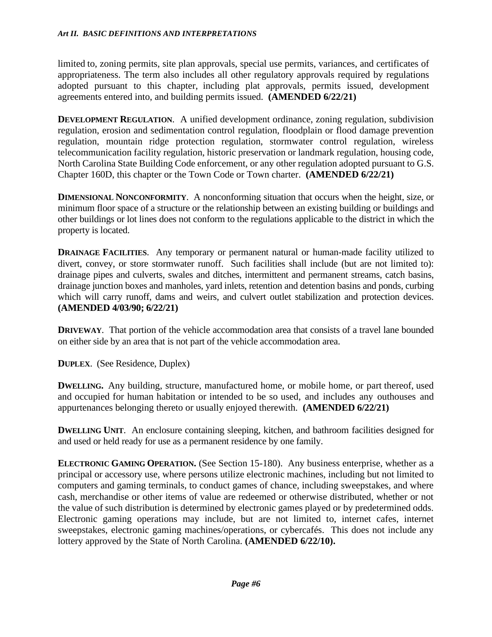limited to, zoning permits, site plan approvals, special use permits, variances, and certificates of appropriateness. The term also includes all other regulatory approvals required by regulations adopted pursuant to this chapter, including plat approvals, permits issued, development agreements entered into, and building permits issued. **(AMENDED 6/22/21)**

**DEVELOPMENT REGULATION.** A unified development ordinance, zoning regulation, subdivision regulation, erosion and sedimentation control regulation, floodplain or flood damage prevention regulation, mountain ridge protection regulation, stormwater control regulation, wireless telecommunication facility regulation, historic preservation or landmark regulation, housing code, North Carolina State Building Code enforcement, or any other regulation adopted pursuant to G.S. Chapter 160D, this chapter or the Town Code or Town charter. **(AMENDED 6/22/21)**

**DIMENSIONAL NONCONFORMITY**. A nonconforming situation that occurs when the height, size, or minimum floor space of a structure or the relationship between an existing building or buildings and other buildings or lot lines does not conform to the regulations applicable to the district in which the property is located.

**DRAINAGE FACILITIES**. Any temporary or permanent natural or human-made facility utilized to divert, convey, or store stormwater runoff. Such facilities shall include (but are not limited to): drainage pipes and culverts, swales and ditches, intermittent and permanent streams, catch basins, drainage junction boxes and manholes, yard inlets, retention and detention basins and ponds, curbing which will carry runoff, dams and weirs, and culvert outlet stabilization and protection devices. **(AMENDED 4/03/90; 6/22/21)**

**DRIVEWAY**. That portion of the vehicle accommodation area that consists of a travel lane bounded on either side by an area that is not part of the vehicle accommodation area.

**DUPLEX**. (See Residence, Duplex)

**DWELLING.** Any building, structure, manufactured home, or mobile home, or part thereof, used and occupied for human habitation or intended to be so used, and includes any outhouses and appurtenances belonging thereto or usually enjoyed therewith. **(AMENDED 6/22/21)**

**DWELLING UNIT.** An enclosure containing sleeping, kitchen, and bathroom facilities designed for and used or held ready for use as a permanent residence by one family.

**ELECTRONIC GAMING OPERATION.** (See Section 15-180). Any business enterprise, whether as a principal or accessory use, where persons utilize electronic machines, including but not limited to computers and gaming terminals, to conduct games of chance, including sweepstakes, and where cash, merchandise or other items of value are redeemed or otherwise distributed, whether or not the value of such distribution is determined by electronic games played or by predetermined odds. Electronic gaming operations may include, but are not limited to, internet cafes, internet sweepstakes, electronic gaming machines/operations, or cybercafés. This does not include any lottery approved by the State of North Carolina. **(AMENDED 6/22/10).**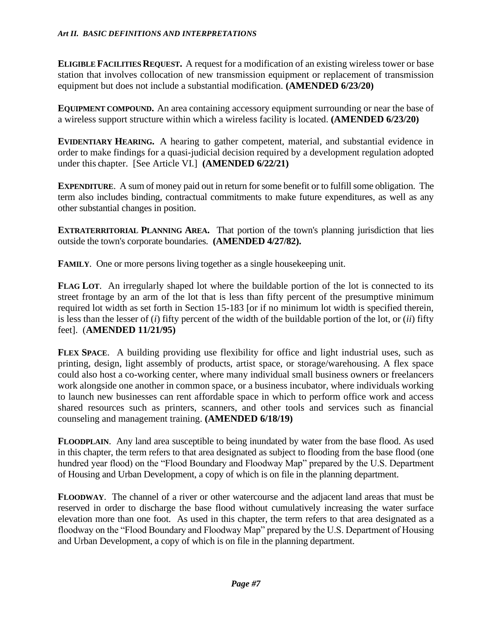**ELIGIBLE FACILITIES REQUEST.** A request for a modification of an existing wireless tower or base station that involves collocation of new transmission equipment or replacement of transmission equipment but does not include a substantial modification. **(AMENDED 6/23/20)**

**EQUIPMENT COMPOUND.** An area containing accessory equipment surrounding or near the base of a wireless support structure within which a wireless facility is located. **(AMENDED 6/23/20)**

**EVIDENTIARY HEARING.** A hearing to gather competent, material, and substantial evidence in order to make findings for a quasi-judicial decision required by a development regulation adopted under this chapter. [See Article VI.] **(AMENDED 6/22/21)**

**EXPENDITURE**. A sum of money paid out in return for some benefit or to fulfill some obligation. The term also includes binding, contractual commitments to make future expenditures, as well as any other substantial changes in position.

**EXTRATERRITORIAL PLANNING AREA.** That portion of the town's planning jurisdiction that lies outside the town's corporate boundaries. **(AMENDED 4/27/82).**

**FAMILY**. One or more persons living together as a single house keeping unit.

**FLAG LOT**. An irregularly shaped lot where the buildable portion of the lot is connected to its street frontage by an arm of the lot that is less than fifty percent of the presumptive minimum required lot width as set forth in Section 15-183 [or if no minimum lot width is specified therein, is less than the lesser of (*i*) fifty percent of the width of the buildable portion of the lot, or (*ii*) fifty feet]. (**AMENDED 11/21/95)**

**FLEX SPACE**. A building providing use flexibility for office and light industrial uses, such as printing, design, light assembly of products, artist space, or storage/warehousing. A flex space could also host a co-working center, where many individual small business owners or freelancers work alongside one another in common space, or a business incubator, where individuals working to launch new businesses can rent affordable space in which to perform office work and access shared resources such as printers, scanners, and other tools and services such as financial counseling and management training. **(AMENDED 6/18/19)**

**FLOODPLAIN**. Any land area susceptible to being inundated by water from the base flood. As used in this chapter, the term refers to that area designated as subject to flooding from the base flood (one hundred year flood) on the "Flood Boundary and Floodway Map" prepared by the U.S. Department of Housing and Urban Development, a copy of which is on file in the planning department.

**FLOODWAY**. The channel of a river or other watercourse and the adjacent land areas that must be reserved in order to discharge the base flood without cumulatively increasing the water surface elevation more than one foot. As used in this chapter, the term refers to that area designated as a floodway on the "Flood Boundary and Floodway Map" prepared by the U.S. Department of Housing and Urban Development, a copy of which is on file in the planning department.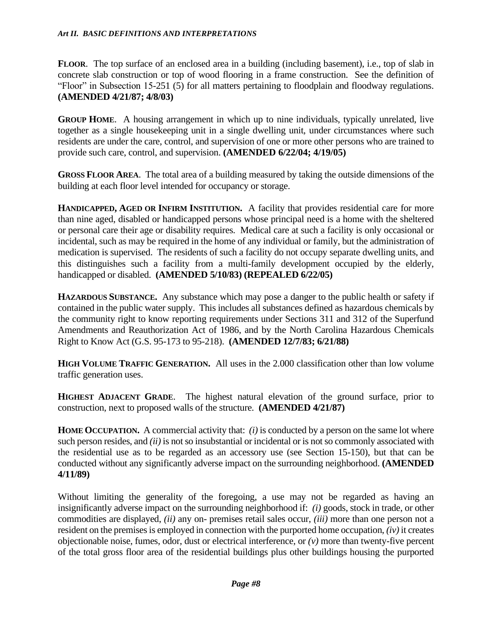**FLOOR**. The top surface of an enclosed area in a building (including basement), i.e., top of slab in concrete slab construction or top of wood flooring in a frame construction. See the definition of "Floor" in Subsection 15-251 (5) for all matters pertaining to floodplain and floodway regulations. **(AMENDED 4/21/87; 4/8/03)**

**GROUP HOME.** A housing arrangement in which up to nine individuals, typically unrelated, live together as a single housekeeping unit in a single dwelling unit, under circumstances where such residents are under the care, control, and supervision of one or more other persons who are trained to provide such care, control, and supervision. **(AMENDED 6/22/04; 4/19/05)**

**GROSS FLOOR AREA**. The total area of a building measured by taking the outside dimensions of the building at each floor level intended for occupancy or storage.

**HANDICAPPED, AGED OR INFIRM INSTITUTION.** A facility that provides residential care for more than nine aged, disabled or handicapped persons whose principal need is a home with the sheltered or personal care their age or disability requires. Medical care at such a facility is only occasional or incidental, such as may be required in the home of any individual or family, but the administration of medication is supervised. The residents of such a facility do not occupy separate dwelling units, and this distinguishes such a facility from a multi-family development occupied by the elderly, handicapped or disabled. **(AMENDED 5/10/83) (REPEALED 6/22/05)**

**HAZARDOUS SUBSTANCE.** Any substance which may pose a danger to the public health or safety if contained in the public water supply. This includes all substances defined as hazardous chemicals by the community right to know reporting requirements under Sections 311 and 312 of the Superfund Amendments and Reauthorization Act of 1986, and by the North Carolina Hazardous Chemicals Right to Know Act (G.S. 95-173 to 95-218). **(AMENDED 12/7/83; 6/21/88)**

**HIGH VOLUME TRAFFIC GENERATION.** All uses in the 2.000 classification other than low volume traffic generation uses.

**HIGHEST ADJACENT GRADE**. The highest natural elevation of the ground surface, prior to construction, next to proposed walls of the structure. **(AMENDED 4/21/87)**

**HOME OCCUPATION.** A commercial activity that: *(i)* is conducted by a person on the same lot where such person resides, and *(ii)* is not so insubstantial or incidental or is not so commonly associated with the residential use as to be regarded as an accessory use (see Section 15-150), but that can be conducted without any significantly adverse impact on the surrounding neighborhood. **(AMENDED 4/11/89)**

Without limiting the generality of the foregoing, a use may not be regarded as having an insignificantly adverse impact on the surrounding neighborhood if: *(i)* goods, stock in trade, or other commodities are displayed, *(ii)* any on- premises retail sales occur, *(iii)* more than one person not a resident on the premises is employed in connection with the purported home occupation, *(iv)* it creates objectionable noise, fumes, odor, dust or electrical interference, or *(v)* more than twenty-five percent of the total gross floor area of the residential buildings plus other buildings housing the purported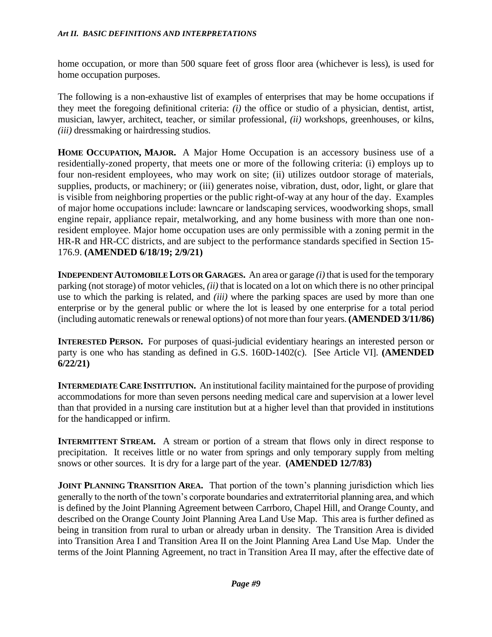home occupation, or more than 500 square feet of gross floor area (whichever is less), is used for home occupation purposes.

The following is a non-exhaustive list of examples of enterprises that may be home occupations if they meet the foregoing definitional criteria: *(i)* the office or studio of a physician, dentist, artist, musician, lawyer, architect, teacher, or similar professional, *(ii)* workshops, greenhouses, or kilns, *(iii)* dressmaking or hairdressing studios.

**HOME OCCUPATION, MAJOR.** A Major Home Occupation is an accessory business use of a residentially-zoned property, that meets one or more of the following criteria: (i) employs up to four non-resident employees, who may work on site; (ii) utilizes outdoor storage of materials, supplies, products, or machinery; or (iii) generates noise, vibration, dust, odor, light, or glare that is visible from neighboring properties or the public right-of-way at any hour of the day. Examples of major home occupations include: lawncare or landscaping services, woodworking shops, small engine repair, appliance repair, metalworking, and any home business with more than one nonresident employee. Major home occupation uses are only permissible with a zoning permit in the HR-R and HR-CC districts, and are subject to the performance standards specified in Section 15- 176.9. **(AMENDED 6/18/19; 2/9/21)**

**INDEPENDENT AUTOMOBILE LOTS OR GARAGES.** An area or garage *(i)* that is used for the temporary parking (not storage) of motor vehicles, *(ii)* that is located on a lot on which there is no other principal use to which the parking is related, and *(iii)* where the parking spaces are used by more than one enterprise or by the general public or where the lot is leased by one enterprise for a total period (including automatic renewals or renewal options) of not more than four years. **(AMENDED 3/11/86)**

**INTERESTED PERSON.** For purposes of quasi-judicial evidentiary hearings an interested person or party is one who has standing as defined in G.S. 160D-1402(c). [See Article VI]. **(AMENDED 6/22/21)**

**INTERMEDIATE CARE INSTITUTION.** An institutional facility maintained for the purpose of providing accommodations for more than seven persons needing medical care and supervision at a lower level than that provided in a nursing care institution but at a higher level than that provided in institutions for the handicapped or infirm.

**INTERMITTENT STREAM.** A stream or portion of a stream that flows only in direct response to precipitation. It receives little or no water from springs and only temporary supply from melting snows or other sources. It is dry for a large part of the year. **(AMENDED 12/7/83)**

**JOINT PLANNING TRANSITION AREA.** That portion of the town's planning jurisdiction which lies generally to the north of the town's corporate boundaries and extraterritorial planning area, and which is defined by the Joint Planning Agreement between Carrboro, Chapel Hill, and Orange County, and described on the Orange County Joint Planning Area Land Use Map. This area is further defined as being in transition from rural to urban or already urban in density. The Transition Area is divided into Transition Area I and Transition Area II on the Joint Planning Area Land Use Map. Under the terms of the Joint Planning Agreement, no tract in Transition Area II may, after the effective date of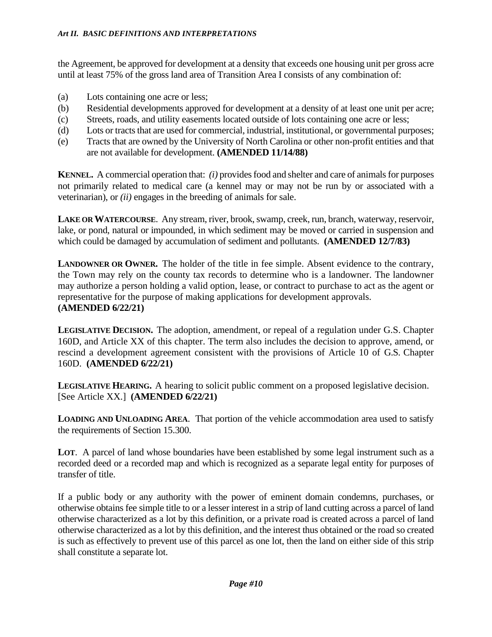the Agreement, be approved for development at a density that exceeds one housing unit per gross acre until at least 75% of the gross land area of Transition Area I consists of any combination of:

- (a) Lots containing one acre or less;
- (b) Residential developments approved for development at a density of at least one unit per acre;
- (c) Streets, roads, and utility easements located outside of lots containing one acre or less;
- (d) Lots or tracts that are used for commercial, industrial, institutional, or governmental purposes;
- (e) Tracts that are owned by the University of North Carolina or other non-profit entities and that are not available for development. **(AMENDED 11/14/88)**

**KENNEL.** A commercial operation that: *(i)* provides food and shelter and care of animals for purposes not primarily related to medical care (a kennel may or may not be run by or associated with a veterinarian), or *(ii)* engages in the breeding of animals for sale.

**LAKE OR WATERCOURSE**. Any stream, river, brook, swamp, creek, run, branch, waterway, reservoir, lake, or pond, natural or impounded, in which sediment may be moved or carried in suspension and which could be damaged by accumulation of sediment and pollutants. **(AMENDED 12/7/83)**

**LANDOWNER OR OWNER.** The holder of the title in fee simple. Absent evidence to the contrary, the Town may rely on the county tax records to determine who is a landowner. The landowner may authorize a person holding a valid option, lease, or contract to purchase to act as the agent or representative for the purpose of making applications for development approvals. **(AMENDED 6/22/21)**

**LEGISLATIVE DECISION.** The adoption, amendment, or repeal of a regulation under G.S. Chapter 160D, and Article XX of this chapter. The term also includes the decision to approve, amend, or rescind a development agreement consistent with the provisions of Article 10 of G.S. Chapter 160D. **(AMENDED 6/22/21)**

**LEGISLATIVE HEARING.** A hearing to solicit public comment on a proposed legislative decision. [See Article XX.] **(AMENDED 6/22/21)**

**LOADING AND UNLOADING AREA**. That portion of the vehicle accommodation area used to satisfy the requirements of Section 15.300.

LOT. A parcel of land whose boundaries have been established by some legal instrument such as a recorded deed or a recorded map and which is recognized as a separate legal entity for purposes of transfer of title.

If a public body or any authority with the power of eminent domain condemns, purchases, or otherwise obtains fee simple title to or a lesser interest in a strip of land cutting across a parcel of land otherwise characterized as a lot by this definition, or a private road is created across a parcel of land otherwise characterized as a lot by this definition, and the interest thus obtained or the road so created is such as effectively to prevent use of this parcel as one lot, then the land on either side of this strip shall constitute a separate lot.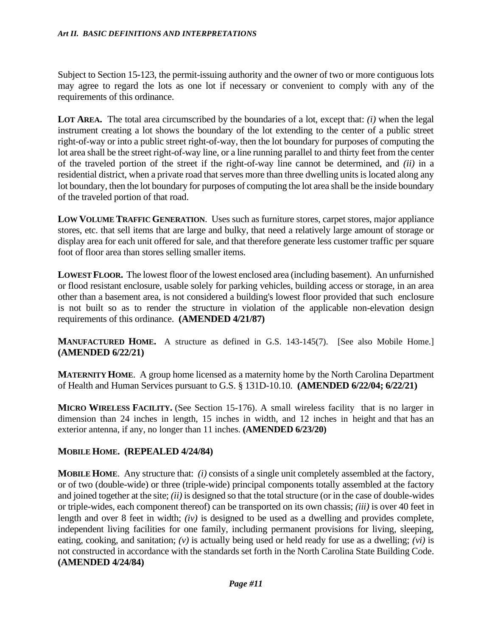Subject to Section 15-123, the permit-issuing authority and the owner of two or more contiguous lots may agree to regard the lots as one lot if necessary or convenient to comply with any of the requirements of this ordinance.

**LOT AREA.** The total area circumscribed by the boundaries of a lot, except that: *(i)* when the legal instrument creating a lot shows the boundary of the lot extending to the center of a public street right-of-way or into a public street right-of-way, then the lot boundary for purposes of computing the lot area shall be the street right-of-way line, or a line running parallel to and thirty feet from the center of the traveled portion of the street if the right-of-way line cannot be determined, and *(ii)* in a residential district, when a private road that serves more than three dwelling units is located along any lot boundary, then the lot boundary for purposes of computing the lot area shall be the inside boundary of the traveled portion of that road.

**LOW VOLUME TRAFFIC GENERATION**. Uses such as furniture stores, carpet stores, major appliance stores, etc. that sell items that are large and bulky, that need a relatively large amount of storage or display area for each unit offered for sale, and that therefore generate less customer traffic per square foot of floor area than stores selling smaller items.

**LOWEST FLOOR.** The lowest floor of the lowest enclosed area (including basement). An unfurnished or flood resistant enclosure, usable solely for parking vehicles, building access or storage, in an area other than a basement area, is not considered a building's lowest floor provided that such enclosure is not built so as to render the structure in violation of the applicable non-elevation design requirements of this ordinance. **(AMENDED 4/21/87)**

**MANUFACTURED HOME.** A structure as defined in G.S. 143-145(7). [See also Mobile Home.] **(AMENDED 6/22/21)**

**MATERNITY HOME.** A group home licensed as a maternity home by the North Carolina Department of Health and Human Services pursuant to G.S. § 131D-10.10. **(AMENDED 6/22/04; 6/22/21)**

**MICRO WIRELESS FACILITY.** (See Section 15-176). A small wireless facility that is no larger in dimension than 24 inches in length, 15 inches in width, and 12 inches in height and that has an exterior antenna, if any, no longer than 11 inches. **(AMENDED 6/23/20)**

## **MOBILE HOME. (REPEALED 4/24/84)**

**MOBILE HOME**. Any structure that: *(i)* consists of a single unit completely assembled at the factory, or of two (double-wide) or three (triple-wide) principal components totally assembled at the factory and joined together at the site; *(ii)* is designed so that the total structure (or in the case of double-wides or triple-wides, each component thereof) can be transported on its own chassis; *(iii)* is over 40 feet in length and over 8 feet in width; *(iv)* is designed to be used as a dwelling and provides complete, independent living facilities for one family, including permanent provisions for living, sleeping, eating, cooking, and sanitation; *(v)* is actually being used or held ready for use as a dwelling; *(vi)* is not constructed in accordance with the standards set forth in the North Carolina State Building Code. **(AMENDED 4/24/84)**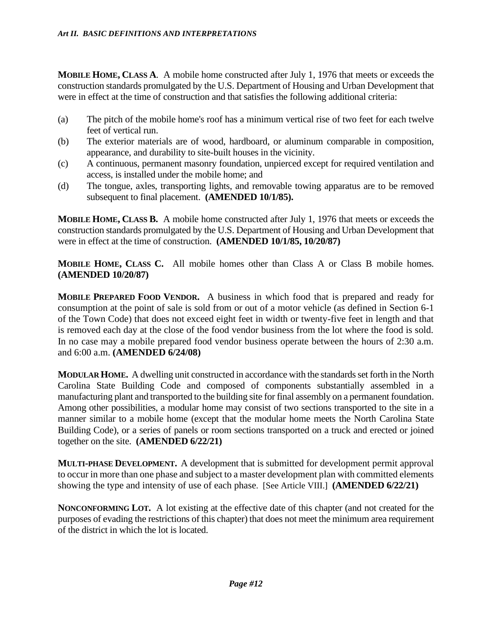**MOBILE HOME, CLASS A**. A mobile home constructed after July 1, 1976 that meets or exceeds the construction standards promulgated by the U.S. Department of Housing and Urban Development that were in effect at the time of construction and that satisfies the following additional criteria:

- (a) The pitch of the mobile home's roof has a minimum vertical rise of two feet for each twelve feet of vertical run.
- (b) The exterior materials are of wood, hardboard, or aluminum comparable in composition, appearance, and durability to site-built houses in the vicinity.
- (c) A continuous, permanent masonry foundation, unpierced except for required ventilation and access, is installed under the mobile home; and
- (d) The tongue, axles, transporting lights, and removable towing apparatus are to be removed subsequent to final placement. **(AMENDED 10/1/85).**

**MOBILE HOME, CLASS B.** A mobile home constructed after July 1, 1976 that meets or exceeds the construction standards promulgated by the U.S. Department of Housing and Urban Development that were in effect at the time of construction. **(AMENDED 10/1/85, 10/20/87)**

**MOBILE HOME, CLASS C.** All mobile homes other than Class A or Class B mobile homes. **(AMENDED 10/20/87)**

**MOBILE PREPARED FOOD VENDOR.** A business in which food that is prepared and ready for consumption at the point of sale is sold from or out of a motor vehicle (as defined in Section 6-1 of the Town Code) that does not exceed eight feet in width or twenty-five feet in length and that is removed each day at the close of the food vendor business from the lot where the food is sold. In no case may a mobile prepared food vendor business operate between the hours of 2:30 a.m. and 6:00 a.m. **(AMENDED 6/24/08)**

**MODULAR HOME.** A dwelling unit constructed in accordance with the standards set forth in the North Carolina State Building Code and composed of components substantially assembled in a manufacturing plant and transported to the building site for final assembly on a permanent foundation. Among other possibilities, a modular home may consist of two sections transported to the site in a manner similar to a mobile home (except that the modular home meets the North Carolina State Building Code), or a series of panels or room sections transported on a truck and erected or joined together on the site. **(AMENDED 6/22/21)**

**MULTI-PHASE DEVELOPMENT.** A development that is submitted for development permit approval to occur in more than one phase and subject to a master development plan with committed elements showing the type and intensity of use of each phase. [See Article VIII.] **(AMENDED 6/22/21)**

**NONCONFORMING LOT.** A lot existing at the effective date of this chapter (and not created for the purposes of evading the restrictions of this chapter) that does not meet the minimum area requirement of the district in which the lot is located.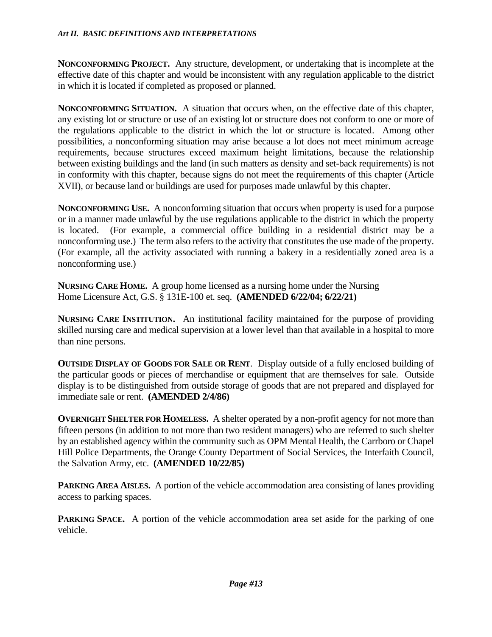**NONCONFORMING PROJECT.** Any structure, development, or undertaking that is incomplete at the effective date of this chapter and would be inconsistent with any regulation applicable to the district in which it is located if completed as proposed or planned.

**NONCONFORMING SITUATION.** A situation that occurs when, on the effective date of this chapter, any existing lot or structure or use of an existing lot or structure does not conform to one or more of the regulations applicable to the district in which the lot or structure is located. Among other possibilities, a nonconforming situation may arise because a lot does not meet minimum acreage requirements, because structures exceed maximum height limitations, because the relationship between existing buildings and the land (in such matters as density and set-back requirements) is not in conformity with this chapter, because signs do not meet the requirements of this chapter (Article XVII), or because land or buildings are used for purposes made unlawful by this chapter.

**NONCONFORMING USE.** A nonconforming situation that occurs when property is used for a purpose or in a manner made unlawful by the use regulations applicable to the district in which the property is located. (For example, a commercial office building in a residential district may be a nonconforming use.) The term also refers to the activity that constitutes the use made of the property. (For example, all the activity associated with running a bakery in a residentially zoned area is a nonconforming use.)

**NURSING CARE HOME.** A group home licensed as a nursing home under the Nursing Home Licensure Act, G.S. § 131E-100 et. seq. **(AMENDED 6/22/04; 6/22/21)**

**NURSING CARE INSTITUTION.** An institutional facility maintained for the purpose of providing skilled nursing care and medical supervision at a lower level than that available in a hospital to more than nine persons.

**OUTSIDE DISPLAY OF GOODS FOR SALE OR RENT**. Display outside of a fully enclosed building of the particular goods or pieces of merchandise or equipment that are themselves for sale. Outside display is to be distinguished from outside storage of goods that are not prepared and displayed for immediate sale or rent. **(AMENDED 2/4/86)** 

**OVERNIGHT SHELTER FOR HOMELESS.** A shelter operated by a non-profit agency for not more than fifteen persons (in addition to not more than two resident managers) who are referred to such shelter by an established agency within the community such as OPM Mental Health, the Carrboro or Chapel Hill Police Departments, the Orange County Department of Social Services, the Interfaith Council, the Salvation Army, etc. **(AMENDED 10/22/85)** 

**PARKING AREA AISLES.** A portion of the vehicle accommodation area consisting of lanes providing access to parking spaces.

**PARKING SPACE.** A portion of the vehicle accommodation area set aside for the parking of one vehicle.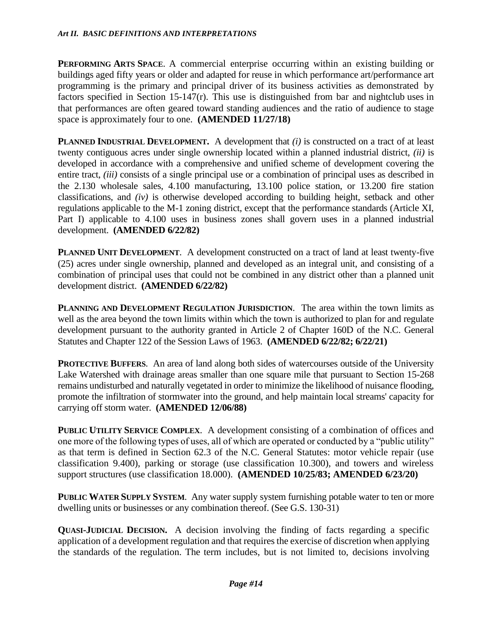**PERFORMING ARTS SPACE**. A commercial enterprise occurring within an existing building or buildings aged fifty years or older and adapted for reuse in which performance art/performance art programming is the primary and principal driver of its business activities as demonstrated by factors specified in Section 15-147(r). This use is distinguished from bar and nightclub uses in that performances are often geared toward standing audiences and the ratio of audience to stage space is approximately four to one. **(AMENDED 11/27/18)**

**PLANNED INDUSTRIAL DEVELOPMENT.** A development that *(i)* is constructed on a tract of at least twenty contiguous acres under single ownership located within a planned industrial district, *(ii)* is developed in accordance with a comprehensive and unified scheme of development covering the entire tract, *(iii)* consists of a single principal use or a combination of principal uses as described in the 2.130 wholesale sales, 4.100 manufacturing, 13.100 police station, or 13.200 fire station classifications, and *(iv)* is otherwise developed according to building height, setback and other regulations applicable to the M-1 zoning district, except that the performance standards (Article XI, Part I) applicable to 4.100 uses in business zones shall govern uses in a planned industrial development. **(AMENDED 6/22/82)**

**PLANNED UNIT DEVELOPMENT**. A development constructed on a tract of land at least twenty-five (25) acres under single ownership, planned and developed as an integral unit, and consisting of a combination of principal uses that could not be combined in any district other than a planned unit development district. **(AMENDED 6/22/82)**

**PLANNING AND DEVELOPMENT REGULATION JURISDICTION**. The area within the town limits as well as the area beyond the town limits within which the town is authorized to plan for and regulate development pursuant to the authority granted in Article 2 of Chapter 160D of the N.C. General Statutes and Chapter 122 of the Session Laws of 1963. **(AMENDED 6/22/82; 6/22/21)**

**PROTECTIVE BUFFERS**. An area of land along both sides of watercourses outside of the University Lake Watershed with drainage areas smaller than one square mile that pursuant to Section 15-268 remains undisturbed and naturally vegetated in order to minimize the likelihood of nuisance flooding, promote the infiltration of stormwater into the ground, and help maintain local streams' capacity for carrying off storm water. **(AMENDED 12/06/88)**

**PUBLIC UTILITY SERVICE COMPLEX**. A development consisting of a combination of offices and one more of the following types of uses, all of which are operated or conducted by a "public utility" as that term is defined in Section 62.3 of the N.C. General Statutes: motor vehicle repair (use classification 9.400), parking or storage (use classification 10.300), and towers and wireless support structures (use classification 18.000). **(AMENDED 10/25/83; AMENDED 6/23/20)**

**PUBLIC WATER SUPPLY SYSTEM**. Any water supply system furnishing potable water to ten or more dwelling units or businesses or any combination thereof. (See G.S. 130-31)

**QUASI-JUDICIAL DECISION.** A decision involving the finding of facts regarding a specific application of a development regulation and that requires the exercise of discretion when applying the standards of the regulation. The term includes, but is not limited to, decisions involving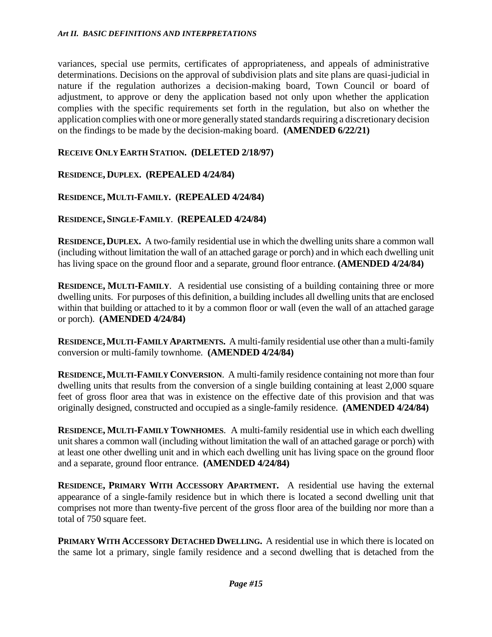variances, special use permits, certificates of appropriateness, and appeals of administrative determinations. Decisions on the approval of subdivision plats and site plans are quasi-judicial in nature if the regulation authorizes a decision-making board, Town Council or board of adjustment, to approve or deny the application based not only upon whether the application complies with the specific requirements set forth in the regulation, but also on whether the application complies with one or more generally stated standards requiring a discretionary decision on the findings to be made by the decision-making board. **(AMENDED 6/22/21)**

### **RECEIVE ONLY EARTH STATION. (DELETED 2/18/97)**

### **RESIDENCE, DUPLEX. (REPEALED 4/24/84)**

### **RESIDENCE, MULTI-FAMILY. (REPEALED 4/24/84)**

### **RESIDENCE, SINGLE-FAMILY**. **(REPEALED 4/24/84)**

**RESIDENCE,DUPLEX.** A two-family residential use in which the dwelling units share a common wall (including without limitation the wall of an attached garage or porch) and in which each dwelling unit has living space on the ground floor and a separate, ground floor entrance. **(AMENDED 4/24/84)**

**RESIDENCE, MULTI-FAMILY**. A residential use consisting of a building containing three or more dwelling units. For purposes of this definition, a building includes all dwelling units that are enclosed within that building or attached to it by a common floor or wall (even the wall of an attached garage or porch). **(AMENDED 4/24/84)**

**RESIDENCE,MULTI-FAMILY APARTMENTS.** A multi-family residential use other than a multi-family conversion or multi-family townhome. **(AMENDED 4/24/84)**

**RESIDENCE,MULTI-FAMILY CONVERSION**. A multi-family residence containing not more than four dwelling units that results from the conversion of a single building containing at least 2,000 square feet of gross floor area that was in existence on the effective date of this provision and that was originally designed, constructed and occupied as a single-family residence. **(AMENDED 4/24/84)**

**RESIDENCE, MULTI-FAMILY TOWNHOMES**. A multi-family residential use in which each dwelling unit shares a common wall (including without limitation the wall of an attached garage or porch) with at least one other dwelling unit and in which each dwelling unit has living space on the ground floor and a separate, ground floor entrance. **(AMENDED 4/24/84)**

**RESIDENCE, PRIMARY WITH ACCESSORY APARTMENT.** A residential use having the external appearance of a single-family residence but in which there is located a second dwelling unit that comprises not more than twenty-five percent of the gross floor area of the building nor more than a total of 750 square feet.

**PRIMARY WITH ACCESSORY DETACHED DWELLING.** A residential use in which there is located on the same lot a primary, single family residence and a second dwelling that is detached from the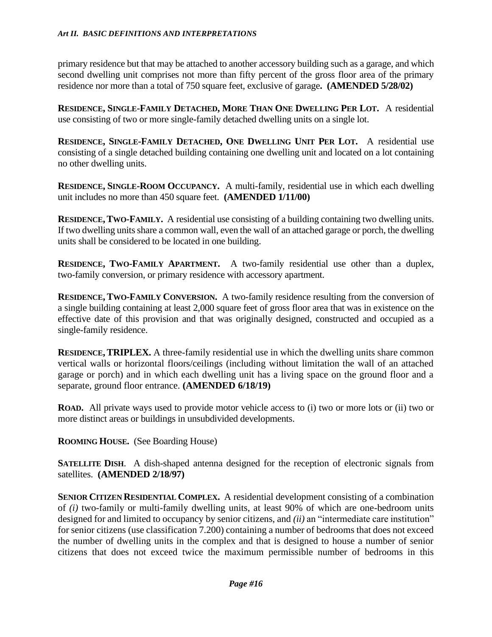primary residence but that may be attached to another accessory building such as a garage, and which second dwelling unit comprises not more than fifty percent of the gross floor area of the primary residence nor more than a total of 750 square feet, exclusive of garage**. (AMENDED 5/28/02)**

RESIDENCE, SINGLE-FAMILY DETACHED, MORE THAN ONE DWELLING PER LOT. A residential use consisting of two or more single-family detached dwelling units on a single lot.

RESIDENCE, SINGLE-FAMILY DETACHED, ONE DWELLING UNIT PER LOT. A residential use consisting of a single detached building containing one dwelling unit and located on a lot containing no other dwelling units.

**RESIDENCE, SINGLE-ROOM OCCUPANCY.** A multi-family, residential use in which each dwelling unit includes no more than 450 square feet. **(AMENDED 1/11/00)** 

**RESIDENCE,TWO-FAMILY.** A residential use consisting of a building containing two dwelling units. If two dwelling units share a common wall, even the wall of an attached garage or porch, the dwelling units shall be considered to be located in one building.

**RESIDENCE, TWO-FAMILY APARTMENT.** A two-family residential use other than a duplex, two-family conversion, or primary residence with accessory apartment.

**RESIDENCE, TWO-FAMILY CONVERSION.** A two-family residence resulting from the conversion of a single building containing at least 2,000 square feet of gross floor area that was in existence on the effective date of this provision and that was originally designed, constructed and occupied as a single-family residence.

**RESIDENCE,TRIPLEX.** A three-family residential use in which the dwelling units share common vertical walls or horizontal floors/ceilings (including without limitation the wall of an attached garage or porch) and in which each dwelling unit has a living space on the ground floor and a separate, ground floor entrance. **(AMENDED 6/18/19)**

**ROAD.** All private ways used to provide motor vehicle access to (i) two or more lots or (ii) two or more distinct areas or buildings in unsubdivided developments.

**ROOMING HOUSE.** (See Boarding House)

**SATELLITE DISH.** A dish-shaped antenna designed for the reception of electronic signals from satellites. **(AMENDED 2/18/97)**

**SENIOR CITIZEN RESIDENTIAL COMPLEX.** A residential development consisting of a combination of *(i)* two-family or multi-family dwelling units, at least 90% of which are one-bedroom units designed for and limited to occupancy by senior citizens, and *(ii)* an "intermediate care institution" for senior citizens (use classification 7.200) containing a number of bedrooms that does not exceed the number of dwelling units in the complex and that is designed to house a number of senior citizens that does not exceed twice the maximum permissible number of bedrooms in this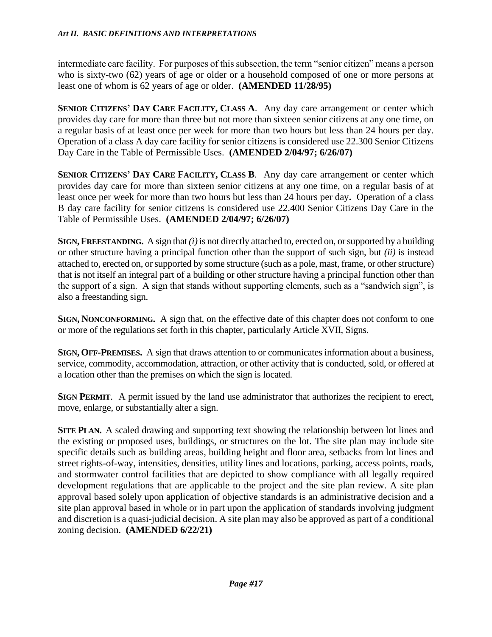intermediate care facility. For purposes of this subsection, the term "senior citizen" means a person who is sixty-two (62) years of age or older or a household composed of one or more persons at least one of whom is 62 years of age or older. **(AMENDED 11/28/95)**

**SENIOR CITIZENS' DAY CARE FACILITY, CLASS A**. Any day care arrangement or center which provides day care for more than three but not more than sixteen senior citizens at any one time, on a regular basis of at least once per week for more than two hours but less than 24 hours per day. Operation of a class A day care facility for senior citizens is considered use 22.300 Senior Citizens Day Care in the Table of Permissible Uses. **(AMENDED 2/04/97; 6/26/07)** 

**SENIOR CITIZENS' DAY CARE FACILITY, CLASS B**. Any day care arrangement or center which provides day care for more than sixteen senior citizens at any one time, on a regular basis of at least once per week for more than two hours but less than 24 hours per day**.** Operation of a class B day care facility for senior citizens is considered use 22.400 Senior Citizens Day Care in the Table of Permissible Uses. **(AMENDED 2/04/97; 6/26/07)**

**SIGN,FREESTANDING.** A sign that *(i)*is not directly attached to, erected on, or supported by a building or other structure having a principal function other than the support of such sign, but *(ii)* is instead attached to, erected on, or supported by some structure (such as a pole, mast, frame, or other structure) that is not itself an integral part of a building or other structure having a principal function other than the support of a sign. A sign that stands without supporting elements, such as a "sandwich sign", is also a freestanding sign.

**SIGN, NONCONFORMING.** A sign that, on the effective date of this chapter does not conform to one or more of the regulations set forth in this chapter, particularly Article XVII, Signs.

**SIGN, OFF-PREMISES.** A sign that draws attention to or communicates information about a business, service, commodity, accommodation, attraction, or other activity that is conducted, sold, or offered at a location other than the premises on which the sign is located.

**SIGN PERMIT.** A permit issued by the land use administrator that authorizes the recipient to erect, move, enlarge, or substantially alter a sign.

**SITE PLAN.** A scaled drawing and supporting text showing the relationship between lot lines and the existing or proposed uses, buildings, or structures on the lot. The site plan may include site specific details such as building areas, building height and floor area, setbacks from lot lines and street rights-of-way, intensities, densities, utility lines and locations, parking, access points, roads, and stormwater control facilities that are depicted to show compliance with all legally required development regulations that are applicable to the project and the site plan review. A site plan approval based solely upon application of objective standards is an administrative decision and a site plan approval based in whole or in part upon the application of standards involving judgment and discretion is a quasi-judicial decision. A site plan may also be approved as part of a conditional zoning decision. **(AMENDED 6/22/21)**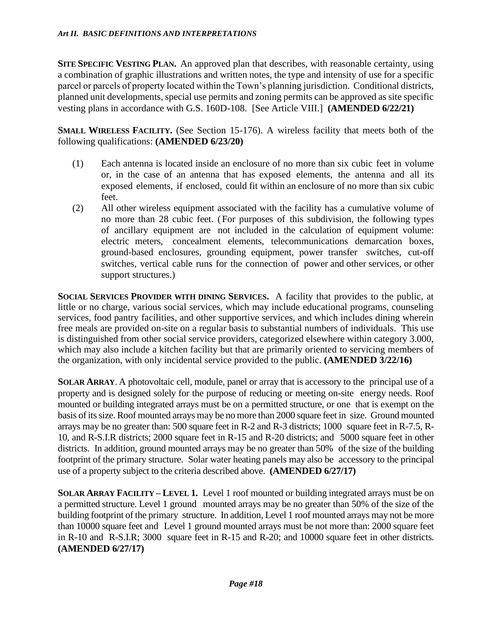**SITE SPECIFIC VESTING PLAN.** An approved plan that describes, with reasonable certainty, using a combination of graphic illustrations and written notes, the type and intensity of use for a specific parcel or parcels of property located within the Town's planning jurisdiction. Conditional districts, planned unit developments, special use permits and zoning permits can be approved as site specific vesting plans in accordance with G.S. 160D-108. [See Article VIII.] **(AMENDED 6/22/21)**

**SMALL WIRELESS FACILITY.** (See Section 15-176). A wireless facility that meets both of the following qualifications: **(AMENDED 6/23/20)**

- (1) Each antenna is located inside an enclosure of no more than six cubic feet in volume or, in the case of an antenna that has exposed elements, the antenna and all its exposed elements, if enclosed, could fit within an enclosure of no more than six cubic feet.
- (2) All other wireless equipment associated with the facility has a cumulative volume of no more than 28 cubic feet. (For purposes of this subdivision, the following types of ancillary equipment are not included in the calculation of equipment volume: electric meters, concealment elements, telecommunications demarcation boxes, ground-based enclosures, grounding equipment, power transfer switches, cut-off switches, vertical cable runs for the connection of power and other services, or other support structures.)

**SOCIAL SERVICES PROVIDER WITH DINING SERVICES.** A facility that provides to the public, at little or no charge, various social services, which may include educational programs, counseling services, food pantry facilities, and other supportive services, and which includes dining wherein free meals are provided on-site on a regular basis to substantial numbers of individuals. This use is distinguished from other social service providers, categorized elsewhere within category 3.000, which may also include a kitchen facility but that are primarily oriented to servicing members of the organization, with only incidental service provided to the public. **(AMENDED 3/22/16)**

**SOLAR ARRAY**. A photovoltaic cell, module, panel or array that is accessory to the principal use of a property and is designed solely for the purpose of reducing or meeting on-site energy needs. Roof mounted or building integrated arrays must be on a permitted structure, or one that is exempt on the basis of itssize. Roof mounted arrays may be no more than 2000 square feet in size. Ground mounted arrays may be no greater than: 500 square feet in R-2 and R-3 districts; 1000 square feet in R-7.5, R-10, and R-S.I.R districts; 2000 square feet in R-15 and R-20 districts; and 5000 square feet in other districts. In addition, ground mounted arrays may be no greater than 50% of the size of the building footprint of the primary structure. Solar water heating panels may also be accessory to the principal use of a property subject to the criteria described above. **(AMENDED 6/27/17)**

**SOLAR ARRAY FACILITY – LEVEL 1.** Level 1 roof mounted or building integrated arrays must be on a permitted structure. Level 1 ground mounted arrays may be no greater than 50% of the size of the building footprint of the primary structure. In addition, Level 1 roof mounted arrays may not be more than 10000 square feet and Level 1 ground mounted arrays must be not more than: 2000 square feet in R-10 and R-S.I.R; 3000 square feet in R-15 and R-20; and 10000 square feet in other districts. **(AMENDED 6/27/17)**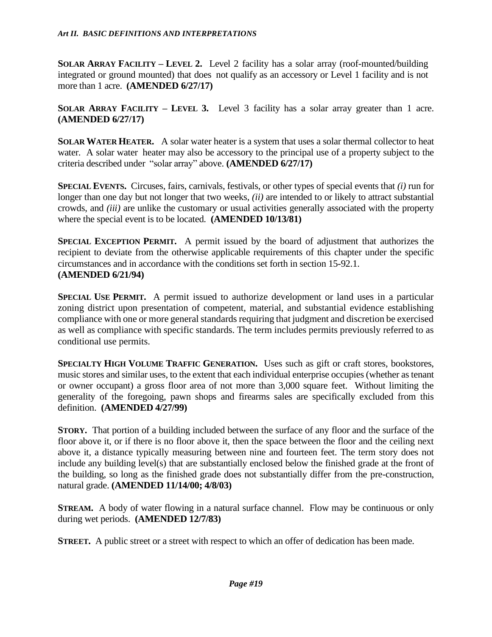**SOLAR ARRAY FACILITY – LEVEL 2.** Level 2 facility has a solar array (roof-mounted/building integrated or ground mounted) that does not qualify as an accessory or Level 1 facility and is not more than 1 acre. **(AMENDED 6/27/17)**

**SOLAR ARRAY FACILITY – LEVEL 3.** Level 3 facility has a solar array greater than 1 acre. **(AMENDED 6/27/17)**

**SOLAR WATER HEATER.** A solar water heater is a system that uses a solar thermal collector to heat water. A solar water heater may also be accessory to the principal use of a property subject to the criteria described under "solar array" above. **(AMENDED 6/27/17)**

**SPECIAL EVENTS.** Circuses, fairs, carnivals, festivals, or other types of special events that *(i)* run for longer than one day but not longer that two weeks, *(ii)* are intended to or likely to attract substantial crowds, and *(iii)* are unlike the customary or usual activities generally associated with the property where the special event is to be located. **(AMENDED 10/13/81)**

**SPECIAL EXCEPTION PERMIT.** A permit issued by the board of adjustment that authorizes the recipient to deviate from the otherwise applicable requirements of this chapter under the specific circumstances and in accordance with the conditions set forth in section 15-92.1. **(AMENDED 6/21/94)**

**SPECIAL USE PERMIT.** A permit issued to authorize development or land uses in a particular zoning district upon presentation of competent, material, and substantial evidence establishing compliance with one or more general standards requiring that judgment and discretion be exercised as well as compliance with specific standards. The term includes permits previously referred to as conditional use permits.

**SPECIALTY HIGH VOLUME TRAFFIC GENERATION.** Uses such as gift or craft stores, bookstores, music stores and similar uses, to the extent that each individual enterprise occupies (whether as tenant or owner occupant) a gross floor area of not more than 3,000 square feet. Without limiting the generality of the foregoing, pawn shops and firearms sales are specifically excluded from this definition. **(AMENDED 4/27/99)**

**STORY.** That portion of a building included between the surface of any floor and the surface of the floor above it, or if there is no floor above it, then the space between the floor and the ceiling next above it, a distance typically measuring between nine and fourteen feet. The term story does not include any building level(s) that are substantially enclosed below the finished grade at the front of the building, so long as the finished grade does not substantially differ from the pre-construction, natural grade. **(AMENDED 11/14/00; 4/8/03)**

**STREAM.** A body of water flowing in a natural surface channel. Flow may be continuous or only during wet periods. **(AMENDED 12/7/83)**

**STREET.** A public street or a street with respect to which an offer of dedication has been made.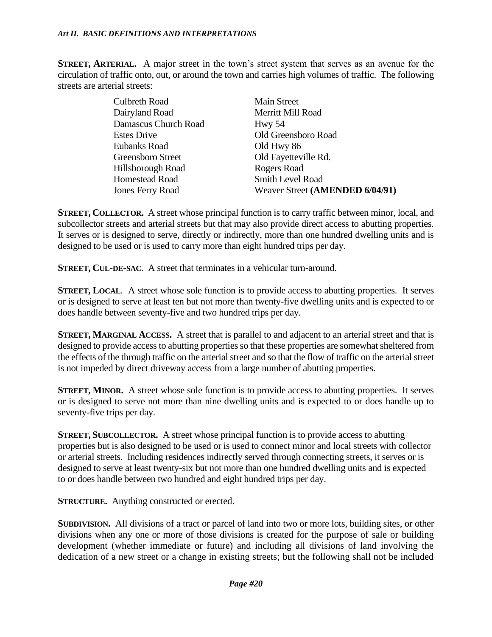**STREET, ARTERIAL.** A major street in the town's street system that serves as an avenue for the circulation of traffic onto, out, or around the town and carries high volumes of traffic. The following streets are arterial streets:

| <b>Culbreth Road</b>    | <b>Main Street</b>              |
|-------------------------|---------------------------------|
| Dairyland Road          | Merritt Mill Road               |
| Damascus Church Road    | HwV 54                          |
| <b>Estes Drive</b>      | Old Greensboro Road             |
| Eubanks Road            | Old Hwy 86                      |
| Greensboro Street       | Old Fayetteville Rd.            |
| Hillsborough Road       | Rogers Road                     |
| Homestead Road          | <b>Smith Level Road</b>         |
| <b>Jones Ferry Road</b> | Weaver Street (AMENDED 6/04/91) |

**STREET, COLLECTOR.** A street whose principal function is to carry traffic between minor, local, and subcollector streets and arterial streets but that may also provide direct access to abutting properties. It serves or is designed to serve, directly or indirectly, more than one hundred dwelling units and is designed to be used or is used to carry more than eight hundred trips per day.

**STREET, CUL-DE-SAC**. A street that terminates in a vehicular turn-around.

**STREET, LOCAL**. A street whose sole function is to provide access to abutting properties. It serves or is designed to serve at least ten but not more than twenty-five dwelling units and is expected to or does handle between seventy-five and two hundred trips per day.

**STREET, MARGINAL ACCESS.** A street that is parallel to and adjacent to an arterial street and that is designed to provide access to abutting properties so that these properties are somewhat sheltered from the effects of the through traffic on the arterial street and so that the flow of traffic on the arterial street is not impeded by direct driveway access from a large number of abutting properties.

**STREET, MINOR.** A street whose sole function is to provide access to abutting properties. It serves or is designed to serve not more than nine dwelling units and is expected to or does handle up to seventy-five trips per day.

**STREET, SUBCOLLECTOR.** A street whose principal function is to provide access to abutting properties but is also designed to be used or is used to connect minor and local streets with collector or arterial streets. Including residences indirectly served through connecting streets, it serves or is designed to serve at least twenty-six but not more than one hundred dwelling units and is expected to or does handle between two hundred and eight hundred trips per day.

**STRUCTURE.** Anything constructed or erected.

**SUBDIVISION.** All divisions of a tract or parcel of land into two or more lots, building sites, or other divisions when any one or more of those divisions is created for the purpose of sale or building development (whether immediate or future) and including all divisions of land involving the dedication of a new street or a change in existing streets; but the following shall not be included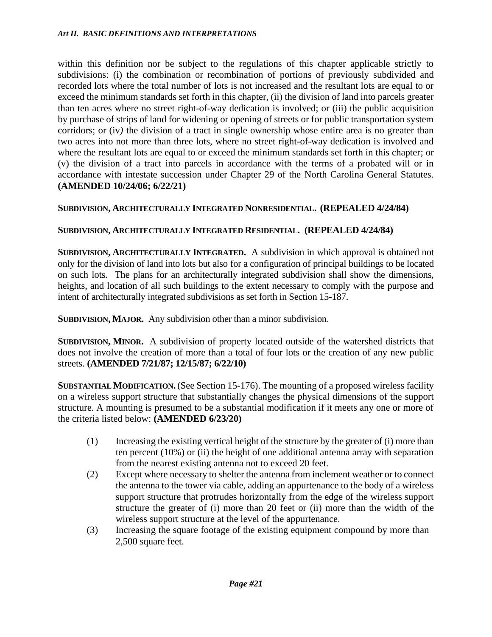within this definition nor be subject to the regulations of this chapter applicable strictly to subdivisions: (i) the combination or recombination of portions of previously subdivided and recorded lots where the total number of lots is not increased and the resultant lots are equal to or exceed the minimum standards set forth in this chapter, (ii) the division of land into parcels greater than ten acres where no street right-of-way dedication is involved; or (iii) the public acquisition by purchase of strips of land for widening or opening of streets or for public transportation system corridors; or (iv*)* the division of a tract in single ownership whose entire area is no greater than two acres into not more than three lots, where no street right-of-way dedication is involved and where the resultant lots are equal to or exceed the minimum standards set forth in this chapter; or (v) the division of a tract into parcels in accordance with the terms of a probated will or in accordance with intestate succession under Chapter 29 of the North Carolina General Statutes. **(AMENDED 10/24/06; 6/22/21)**

### **SUBDIVISION, ARCHITECTURALLY INTEGRATED NONRESIDENTIAL. (REPEALED 4/24/84)**

### **SUBDIVISION, ARCHITECTURALLY INTEGRATED RESIDENTIAL. (REPEALED 4/24/84)**

**SUBDIVISION, ARCHITECTURALLY INTEGRATED.** A subdivision in which approval is obtained not only for the division of land into lots but also for a configuration of principal buildings to be located on such lots. The plans for an architecturally integrated subdivision shall show the dimensions, heights, and location of all such buildings to the extent necessary to comply with the purpose and intent of architecturally integrated subdivisions as set forth in Section 15-187.

**SUBDIVISION, MAJOR.** Any subdivision other than a minor subdivision.

**SUBDIVISION, MINOR.** A subdivision of property located outside of the watershed districts that does not involve the creation of more than a total of four lots or the creation of any new public streets. **(AMENDED 7/21/87; 12/15/87; 6/22/10)**

**SUBSTANTIAL MODIFICATION.**(See Section 15-176). The mounting of a proposed wireless facility on a wireless support structure that substantially changes the physical dimensions of the support structure. A mounting is presumed to be a substantial modification if it meets any one or more of the criteria listed below: **(AMENDED 6/23/20)**

- (1) Increasing the existing vertical height of the structure by the greater of (i) more than ten percent (10%) or (ii) the height of one additional antenna array with separation from the nearest existing antenna not to exceed 20 feet.
- (2) Except where necessary to shelter the antenna from inclement weather or to connect the antenna to the tower via cable, adding an appurtenance to the body of a wireless support structure that protrudes horizontally from the edge of the wireless support structure the greater of (i) more than 20 feet or (ii) more than the width of the wireless support structure at the level of the appurtenance.
- (3) Increasing the square footage of the existing equipment compound by more than 2,500 square feet.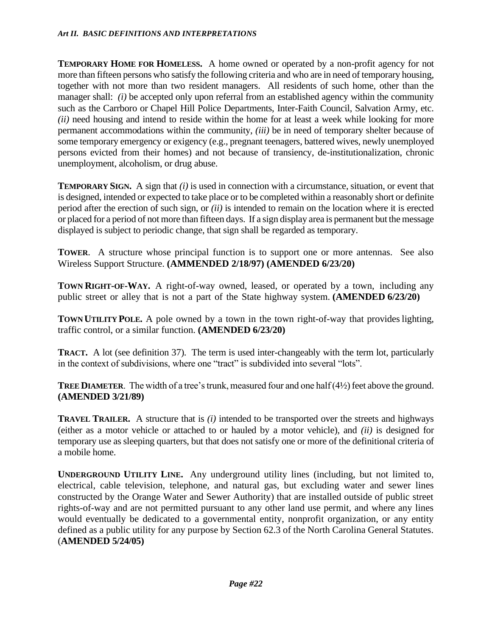**TEMPORARY HOME FOR HOMELESS.** A home owned or operated by a non-profit agency for not more than fifteen persons who satisfy the following criteria and who are in need of temporary housing, together with not more than two resident managers. All residents of such home, other than the manager shall: *(i)* be accepted only upon referral from an established agency within the community such as the Carrboro or Chapel Hill Police Departments, Inter-Faith Council, Salvation Army, etc. *(ii)* need housing and intend to reside within the home for at least a week while looking for more permanent accommodations within the community, *(iii)* be in need of temporary shelter because of some temporary emergency or exigency (e.g., pregnant teenagers, battered wives, newly unemployed persons evicted from their homes) and not because of transiency, de-institutionalization, chronic unemployment, alcoholism, or drug abuse.

**TEMPORARY SIGN.** A sign that *(i)* is used in connection with a circumstance, situation, or event that is designed, intended or expected to take place or to be completed within a reasonably short or definite period after the erection of such sign, or *(ii)* is intended to remain on the location where it is erected or placed for a period of not more than fifteen days. If a sign display area is permanent but the message displayed is subject to periodic change, that sign shall be regarded as temporary.

**TOWER**. A structure whose principal function is to support one or more antennas. See also Wireless Support Structure. **(AMMENDED 2/18/97) (AMENDED 6/23/20)**

**TOWN RIGHT-OF-WAY.** A right-of-way owned, leased, or operated by a town, including any public street or alley that is not a part of the State highway system. **(AMENDED 6/23/20)**

**TOWN UTILITY POLE.** A pole owned by a town in the town right-of-way that provides lighting, traffic control, or a similar function. **(AMENDED 6/23/20)**

**TRACT.** A lot (see definition 37). The term is used inter-changeably with the term lot, particularly in the context of subdivisions, where one "tract" is subdivided into several "lots".

**TREE DIAMETER.** The width of a tree's trunk, measured four and one half (4½) feet above the ground. **(AMENDED 3/21/89)**

**TRAVEL TRAILER.** A structure that is *(i)* intended to be transported over the streets and highways (either as a motor vehicle or attached to or hauled by a motor vehicle), and *(ii)* is designed for temporary use as sleeping quarters, but that does not satisfy one or more of the definitional criteria of a mobile home.

**UNDERGROUND UTILITY LINE.** Any underground utility lines (including, but not limited to, electrical, cable television, telephone, and natural gas, but excluding water and sewer lines constructed by the Orange Water and Sewer Authority) that are installed outside of public street rights-of-way and are not permitted pursuant to any other land use permit, and where any lines would eventually be dedicated to a governmental entity, nonprofit organization, or any entity defined as a public utility for any purpose by Section 62.3 of the North Carolina General Statutes. (**AMENDED 5/24/05)**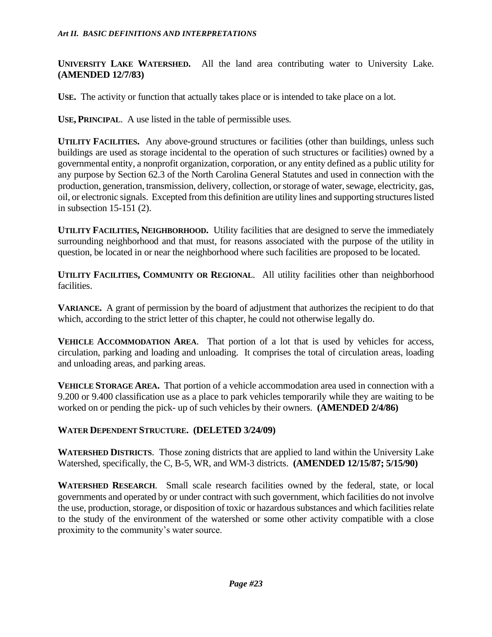**UNIVERSITY LAKE WATERSHED.** All the land area contributing water to University Lake. **(AMENDED 12/7/83)**

USE. The activity or function that actually takes place or is intended to take place on a lot.

**USE, PRINCIPAL**. A use listed in the table of permissible uses.

**UTILITY FACILITIES.** Any above-ground structures or facilities (other than buildings, unless such buildings are used as storage incidental to the operation of such structures or facilities) owned by a governmental entity, a nonprofit organization, corporation, or any entity defined as a public utility for any purpose by Section 62.3 of the North Carolina General Statutes and used in connection with the production, generation, transmission, delivery, collection, or storage of water, sewage, electricity, gas, oil, or electronic signals. Excepted from this definition are utility lines and supporting structures listed in subsection 15-151 (2).

**UTILITY FACILITIES, NEIGHBORHOOD.** Utility facilities that are designed to serve the immediately surrounding neighborhood and that must, for reasons associated with the purpose of the utility in question, be located in or near the neighborhood where such facilities are proposed to be located.

**UTILITY FACILITIES, COMMUNITY OR REGIONAL**. All utility facilities other than neighborhood facilities.

**VARIANCE.** A grant of permission by the board of adjustment that authorizes the recipient to do that which, according to the strict letter of this chapter, he could not otherwise legally do.

**VEHICLE ACCOMMODATION AREA**. That portion of a lot that is used by vehicles for access, circulation, parking and loading and unloading. It comprises the total of circulation areas, loading and unloading areas, and parking areas.

**VEHICLE STORAGE AREA.** That portion of a vehicle accommodation area used in connection with a 9.200 or 9.400 classification use as a place to park vehicles temporarily while they are waiting to be worked on or pending the pick- up of such vehicles by their owners. **(AMENDED 2/4/86)**

### **WATER DEPENDENT STRUCTURE. (DELETED 3/24/09)**

**WATERSHED DISTRICTS**. Those zoning districts that are applied to land within the University Lake Watershed, specifically, the C, B-5, WR, and WM-3 districts. **(AMENDED 12/15/87; 5/15/90)**

**WATERSHED RESEARCH**. Small scale research facilities owned by the federal, state, or local governments and operated by or under contract with such government, which facilities do not involve the use, production, storage, or disposition of toxic or hazardous substances and which facilities relate to the study of the environment of the watershed or some other activity compatible with a close proximity to the community's water source.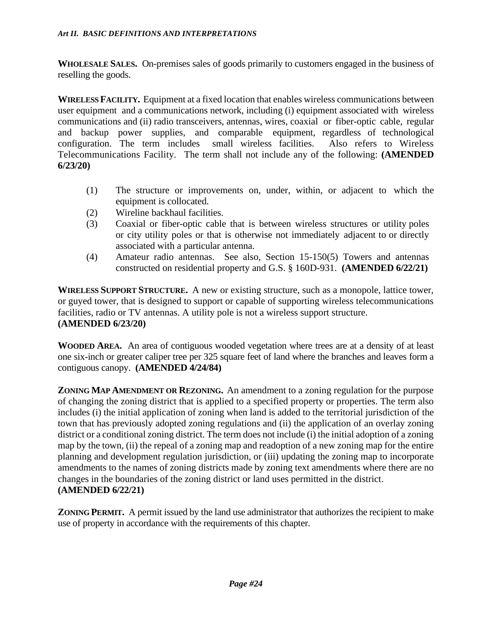**WHOLESALE SALES.** On-premises sales of goods primarily to customers engaged in the business of reselling the goods.

**WIRELESS FACILITY.** Equipment at a fixed location that enables wireless communications between user equipment and a communications network, including (i) equipment associated with wireless communications and (ii) radio transceivers, antennas, wires, coaxial or fiber-optic cable, regular and backup power supplies, and comparable equipment, regardless of technological configuration. The term includes small wireless facilities. Also refers to Wireless Telecommunications Facility. The term shall not include any of the following: **(AMENDED 6/23/20)**

- (1) The structure or improvements on, under, within, or adjacent to which the equipment is collocated.
- (2) Wireline backhaul facilities.
- (3) Coaxial or fiber-optic cable that is between wireless structures or utility poles or city utility poles or that is otherwise not immediately adjacent to or directly associated with a particular antenna.
- (4) Amateur radio antennas. See also, Section 15-150(5) Towers and antennas constructed on residential property and G.S. § 160D-931. **(AMENDED 6/22/21)**

**WIRELESS SUPPORT STRUCTURE.** A new or existing structure, such as a monopole, lattice tower, or guyed tower, that is designed to support or capable of supporting wireless telecommunications facilities, radio or TV antennas. A utility pole is not a wireless support structure. **(AMENDED 6/23/20)**

**WOODED AREA.** An area of contiguous wooded vegetation where trees are at a density of at least one six-inch or greater caliper tree per 325 square feet of land where the branches and leaves form a contiguous canopy. **(AMENDED 4/24/84)**

**ZONING MAP AMENDMENT OR REZONING.** An amendment to a zoning regulation for the purpose of changing the zoning district that is applied to a specified property or properties. The term also includes (i) the initial application of zoning when land is added to the territorial jurisdiction of the town that has previously adopted zoning regulations and (ii) the application of an overlay zoning district or a conditional zoning district. The term does not include (i) the initial adoption of a zoning map by the town, (ii) the repeal of a zoning map and readoption of a new zoning map for the entire planning and development regulation jurisdiction, or (iii) updating the zoning map to incorporate amendments to the names of zoning districts made by zoning text amendments where there are no changes in the boundaries of the zoning district or land uses permitted in the district. **(AMENDED 6/22/21)**

**ZONING PERMIT.** A permit issued by the land use administrator that authorizes the recipient to make use of property in accordance with the requirements of this chapter.